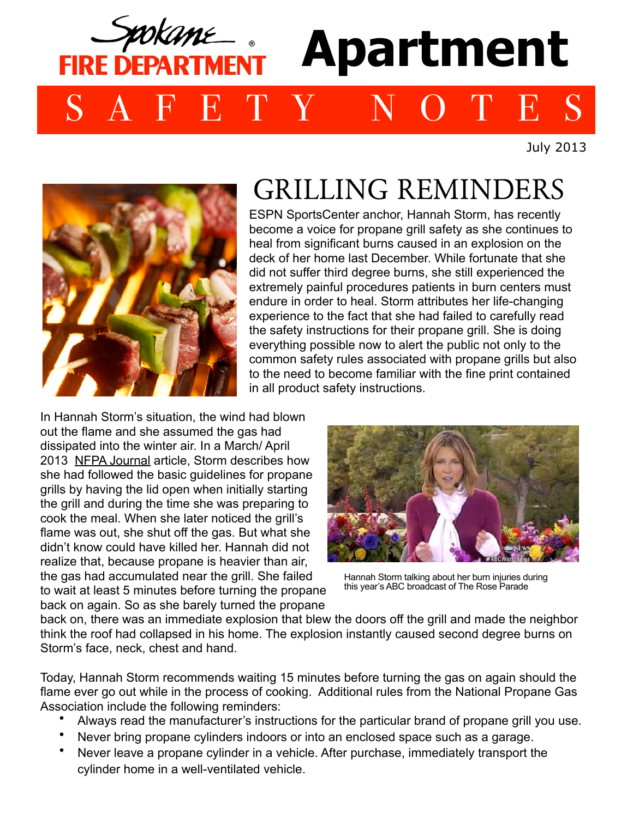## **Apartment FIRE DEPARTMENT** SAFETY NOTES

July 2013



## GRILLING REMINDERS

ESPN SportsCenter anchor, Hannah Storm, has recently become a voice for propane grill safety as she continues to heal from significant burns caused in an explosion on the deck of her home last December. While fortunate that she did not suffer third degree burns, she still experienced the extremely painful procedures patients in burn centers must endure in order to heal. Storm attributes her life-changing experience to the fact that she had failed to carefully read the safety instructions for their propane grill. She is doing everything possible now to alert the public not only to the common safety rules associated with propane grills but also to the need to become familiar with the fine print contained in all product safety instructions.

In Hannah Storm's situation, the wind had blown out the flame and she assumed the gas had dissipated into the winter air. In a March/ April 2013 NFPA Journal article, Storm describes how she had followed the basic guidelines for propane grills by having the lid open when initially starting the grill and during the time she was preparing to cook the meal. When she later noticed the grill's flame was out, she shut off the gas. But what she didn't know could have killed her. Hannah did not realize that, because propane is heavier than air, the gas had accumulated near the grill. She failed to wait at least 5 minutes before turning the propane back on again. So as she barely turned the propane



Hannah Storm talking about her burn injuries during this year's ABC broadcast of The Rose Parade

back on, there was an immediate explosion that blew the doors off the grill and made the neighbor think the roof had collapsed in his home. The explosion instantly caused second degree burns on Storm's face, neck, chest and hand.

Today, Hannah Storm recommends waiting 15 minutes before turning the gas on again should the flame ever go out while in the process of cooking. Additional rules from the National Propane Gas Association include the following reminders:

- Always read the manufacturer's instructions for the particular brand of propane grill you use.
- Never bring propane cylinders indoors or into an enclosed space such as a garage.
- Never leave a propane cylinder in a vehicle. After purchase, immediately transport the cylinder home in a well-ventilated vehicle.